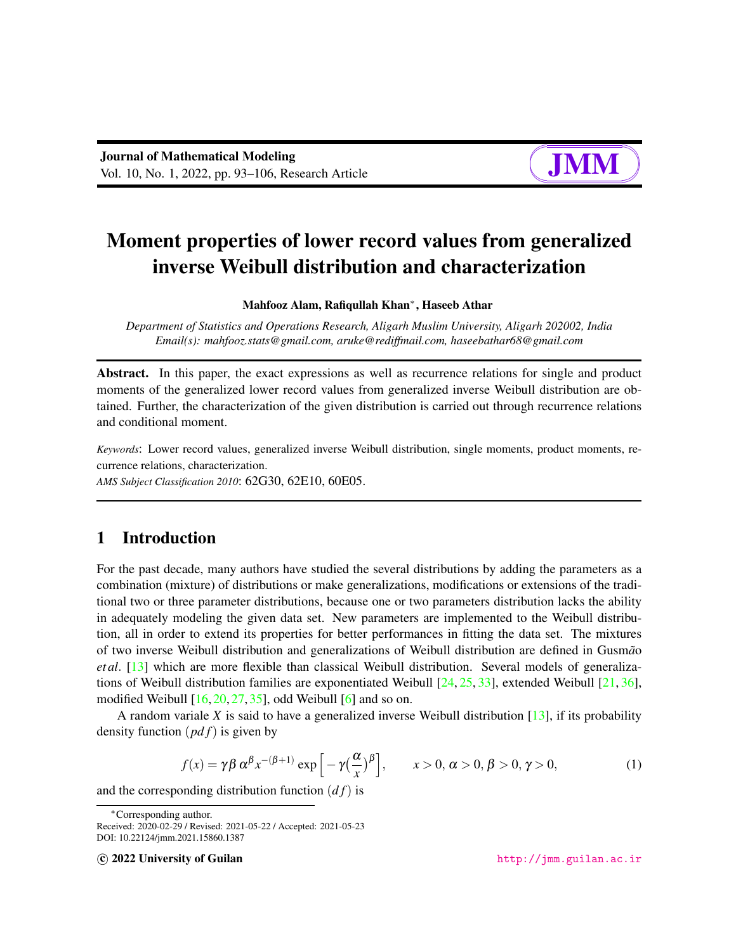# Moment properties of lower record values from generalized inverse Weibull distribution and characterization

#### Mahfooz Alam, Rafiqullah Khan<sup>∗</sup> , Haseeb Athar

*Department of Statistics and Operations Research, Aligarh Muslim University, Aligarh 202002, India Email(s): mahfooz.stats@gmail.com, aruke@rediffmail.com, haseebathar68@gmail.com*

Abstract. In this paper, the exact expressions as well as recurrence relations for single and product moments of the generalized lower record values from generalized inverse Weibull distribution are obtained. Further, the characterization of the given distribution is carried out through recurrence relations and conditional moment.

*Keywords*: Lower record values, generalized inverse Weibull distribution, single moments, product moments, recurrence relations, characterization.

*AMS Subject Classification 2010*: 62G30, 62E10, 60E05.

# 1 Introduction

For the past decade, many authors have studied the several distributions by adding the parameters as a combination (mixture) of distributions or make generalizations, modifications or extensions of the traditional two or three parameter distributions, because one or two parameters distribution lacks the ability in adequately modeling the given data set. New parameters are implemented to the Weibull distribution, all in order to extend its properties for better performances in fitting the data set. The mixtures of two inverse Weibull distribution and generalizations of Weibull distribution are defined in Gusmao *et al*. [\[13\]](#page-12-0) which are more flexible than classical Weibull distribution. Several models of generalizations of Weibull distribution families are exponentiated Weibull [\[24,](#page-12-1) [25,](#page-12-2) [33\]](#page-13-0), extended Weibull [\[21,](#page-12-3) [36\]](#page-13-1), modified Weibull  $[16, 20, 27, 35]$  $[16, 20, 27, 35]$  $[16, 20, 27, 35]$  $[16, 20, 27, 35]$  $[16, 20, 27, 35]$  $[16, 20, 27, 35]$  $[16, 20, 27, 35]$ , odd Weibull  $[6]$  and so on.

A random variale *X* is said to have a generalized inverse Weibull distribution [\[13\]](#page-12-0), if its probability density function (*pd f*) is given by

<span id="page-0-0"></span>
$$
f(x) = \gamma \beta \alpha^{\beta} x^{-(\beta+1)} \exp\left[-\gamma \left(\frac{\alpha}{x}\right)^{\beta}\right], \qquad x > 0, \, \alpha > 0, \, \beta > 0, \, \gamma > 0,\tag{1}
$$

and the corresponding distribution function  $(df)$  is

c 2022 University of Guilan <http://jmm.guilan.ac.ir>

<sup>∗</sup>Corresponding author.

Received: 2020-02-29 / Revised: 2021-05-22 / Accepted: 2021-05-23 DOI: 10.22124/jmm.2021.15860.1387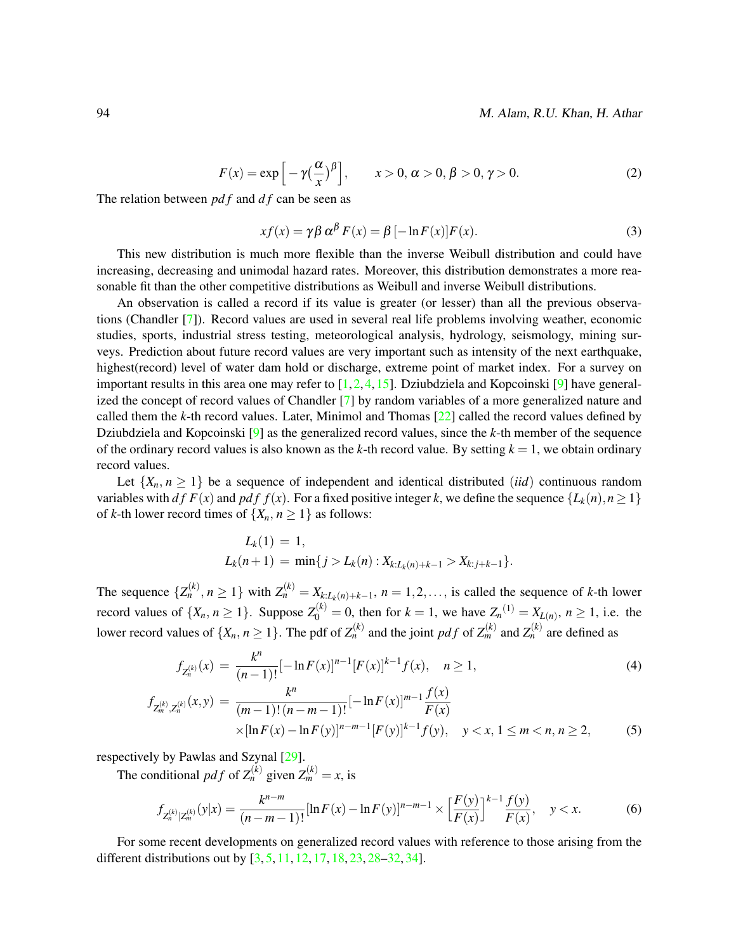<span id="page-1-1"></span>
$$
F(x) = \exp\left[-\gamma \left(\frac{\alpha}{x}\right)^{\beta}\right], \qquad x > 0, \alpha > 0, \beta > 0, \gamma > 0.
$$
 (2)

The relation between *pd f* and *d f* can be seen as

<span id="page-1-2"></span>
$$
xf(x) = \gamma \beta \alpha^{\beta} F(x) = \beta [-\ln F(x)]F(x).
$$
 (3)

This new distribution is much more flexible than the inverse Weibull distribution and could have increasing, decreasing and unimodal hazard rates. Moreover, this distribution demonstrates a more reasonable fit than the other competitive distributions as Weibull and inverse Weibull distributions.

An observation is called a record if its value is greater (or lesser) than all the previous observations (Chandler [\[7\]](#page-11-1)). Record values are used in several real life problems involving weather, economic studies, sports, industrial stress testing, meteorological analysis, hydrology, seismology, mining surveys. Prediction about future record values are very important such as intensity of the next earthquake, highest(record) level of water dam hold or discharge, extreme point of market index. For a survey on important results in this area one may refer to [\[1,](#page-11-2)[2,](#page-11-3)[4,](#page-11-4)[15\]](#page-12-6). Dziubdziela and Kopcoinski [\[9\]](#page-11-5) have generalized the concept of record values of Chandler [\[7\]](#page-11-1) by random variables of a more generalized nature and called them the *k*-th record values. Later, Minimol and Thomas [\[22\]](#page-12-7) called the record values defined by Dziubdziela and Kopcoinski [\[9\]](#page-11-5) as the generalized record values, since the *k*-th member of the sequence of the ordinary record values is also known as the *k*-th record value. By setting *k* = 1, we obtain ordinary record values.

Let  $\{X_n, n \geq 1\}$  be a sequence of independent and identical distributed *(iid)* continuous random variables with *df*  $F(x)$  and *pdf*  $f(x)$ . For a fixed positive integer *k*, we define the sequence  $\{L_k(n), n \geq 1\}$ of *k*-th lower record times of  $\{X_n, n \geq 1\}$  as follows:

$$
L_k(1) = 1,
$$
  
\n
$$
L_k(n+1) = \min\{j > L_k(n) : X_{k:L_k(n)+k-1} > X_{k:j+k-1}\}.
$$

The sequence  $\{Z_n^{(k)}, n \ge 1\}$  with  $Z_n^{(k)} = X_{k:L_k(n)+k-1}, n = 1, 2, \ldots$ , is called the sequence of *k*-th lower record values of  $\{X_n, n \ge 1\}$ . Suppose  $Z_0^{(k)} = 0$ , then for  $k = 1$ , we have  $Z_n^{(1)} = X_{L(n)}$ ,  $n \ge 1$ , i.e. the lower record values of  $\{X_n, n \geq 1\}$ . The pdf of  $Z_n^{(k)}$  and the joint pdf of  $Z_m^{(k)}$  and  $Z_n^{(k)}$  are defined as

<span id="page-1-0"></span>
$$
f_{Z_n^{(k)}}(x) = \frac{k^n}{(n-1)!} [-\ln F(x)]^{n-1} [F(x)]^{k-1} f(x), \quad n \ge 1,
$$
\n
$$
f_{Z_m^{(k)}, Z_n^{(k)}}(x, y) = \frac{k^n}{(m-1)!(n-m-1)!} [-\ln F(x)]^{m-1} \frac{f(x)}{F(x)}
$$
\n
$$
\times [\ln F(x) - \ln F(y)]^{n-m-1} [F(y)]^{k-1} f(y), \quad y < x, 1 \le m < n, n \ge 2,
$$
\n(5)

respectively by Pawlas and Szynal [\[29\]](#page-13-4).

The conditional *pdf* of  $Z_n^{(k)}$  given  $Z_m^{(k)} = x$ , is

<span id="page-1-3"></span>
$$
f_{Z_n^{(k)}|Z_m^{(k)}}(y|x) = \frac{k^{n-m}}{(n-m-1)!}[\ln F(x) - \ln F(y)]^{n-m-1} \times \left[\frac{F(y)}{F(x)}\right]^{k-1} \frac{f(y)}{F(x)}, \quad y < x. \tag{6}
$$

For some recent developments on generalized record values with reference to those arising from the different distributions out by [\[3,](#page-11-6) [5,](#page-11-7) [11,](#page-12-8) [12,](#page-12-9) [17,](#page-12-10) [18,](#page-12-11) [23,](#page-12-12) [28](#page-13-5)[–32,](#page-13-6) [34\]](#page-13-7).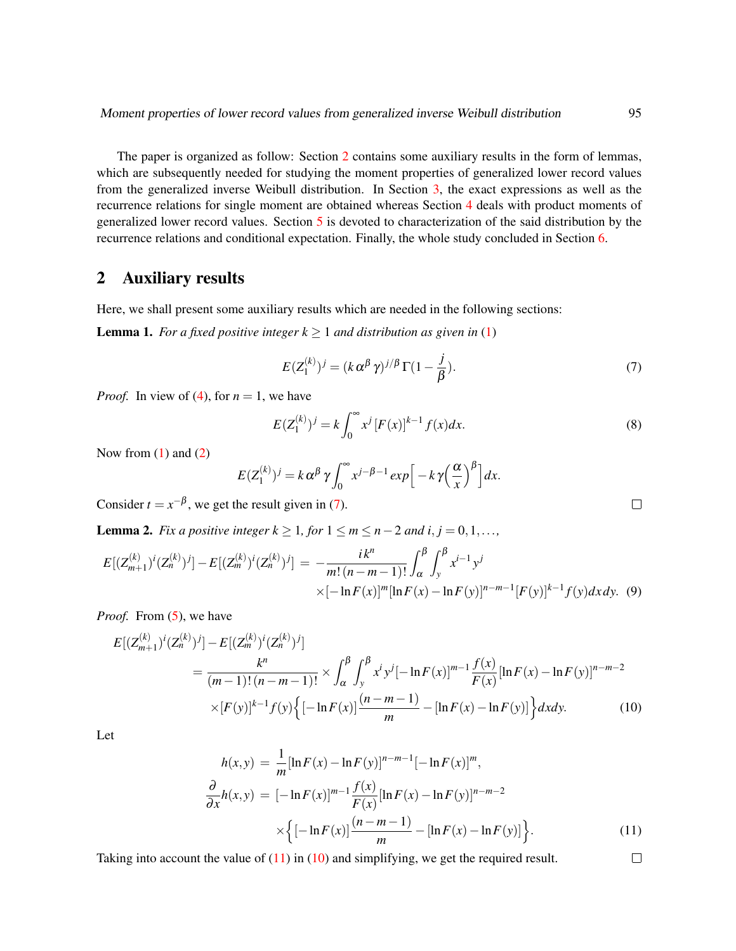The paper is organized as follow: Section [2](#page-2-0) contains some auxiliary results in the form of lemmas, which are subsequently needed for studying the moment properties of generalized lower record values from the generalized inverse Weibull distribution. In Section [3,](#page-3-0) the exact expressions as well as the recurrence relations for single moment are obtained whereas Section [4](#page-4-0) deals with product moments of generalized lower record values. Section [5](#page-7-0) is devoted to characterization of the said distribution by the recurrence relations and conditional expectation. Finally, the whole study concluded in Section [6.](#page-11-8)

## <span id="page-2-0"></span>2 Auxiliary results

Here, we shall present some auxiliary results which are needed in the following sections:

<span id="page-2-4"></span>**Lemma 1.** *For a fixed positive integer*  $k \geq 1$  *and distribution as given in* [\(1\)](#page-0-0)

<span id="page-2-1"></span>
$$
E(Z_1^{(k)})^j = (k \alpha^{\beta} \gamma)^{j/\beta} \Gamma(1 - \frac{j}{\beta}).
$$
\n(7)

*Proof.* In view of [\(4\)](#page-1-0), for  $n = 1$ , we have

$$
E(Z_1^{(k)})^j = k \int_0^\infty x^j [F(x)]^{k-1} f(x) dx.
$$
 (8)

Now from  $(1)$  and  $(2)$ 

$$
E(Z_1^{(k)})^j = k \alpha^{\beta} \gamma \int_0^{\infty} x^{j-\beta-1} \exp\Big[-k \gamma \Big(\frac{\alpha}{x}\Big)^{\beta}\Big] dx.
$$

Consider  $t = x^{-\beta}$ , we get the result given in [\(7\)](#page-2-1).

<span id="page-2-5"></span>**Lemma 2.** *Fix a positive integer k*  $\geq 1$ *, for*  $1 \leq m \leq n-2$  *and i, j* = 0,1,...*,* 

$$
E[(Z_{m+1}^{(k)})^{i}(Z_{n}^{(k)})^{j}] - E[(Z_{m}^{(k)})^{i}(Z_{n}^{(k)})^{j}] = -\frac{ik^{n}}{m!(n-m-1)!} \int_{\alpha}^{\beta} \int_{y}^{\beta} x^{i-1} y^{j} \times [-\ln F(x)]^{m} [\ln F(x) - \ln F(y)]^{n-m-1} [F(y)]^{k-1} f(y) dx dy.
$$
 (9)

*Proof.* From [\(5\)](#page-1-0), we have

<span id="page-2-3"></span>
$$
E[(Z_{m+1}^{(k)})^{i}(Z_{n}^{(k)})^{j}] - E[(Z_{m}^{(k)})^{i}(Z_{n}^{(k)})^{j}]
$$
  
\n
$$
= \frac{k^{n}}{(m-1)!(n-m-1)!} \times \int_{\alpha}^{\beta} \int_{y}^{\beta} x^{i} y^{j}[-\ln F(x)]^{m-1} \frac{f(x)}{F(x)}[\ln F(x) - \ln F(y)]^{n-m-2}
$$
  
\n
$$
\times [F(y)]^{k-1} f(y) \Big\{ [-\ln F(x)] \frac{(n-m-1)}{m} - [\ln F(x) - \ln F(y)] \Big\} dxdy.
$$
 (10)

Let

<span id="page-2-2"></span>
$$
h(x,y) = \frac{1}{m} [\ln F(x) - \ln F(y)]^{n-m-1} [-\ln F(x)]^m,
$$
  
\n
$$
\frac{\partial}{\partial x} h(x,y) = [-\ln F(x)]^{m-1} \frac{f(x)}{F(x)} [\ln F(x) - \ln F(y)]^{n-m-2}
$$
  
\n
$$
\times \left\{ [-\ln F(x)] \frac{(n-m-1)}{m} - [\ln F(x) - \ln F(y)] \right\}.
$$
\n(11)

Taking into account the value of [\(11\)](#page-2-2) in [\(10\)](#page-2-3) and simplifying, we get the required result.

 $\Box$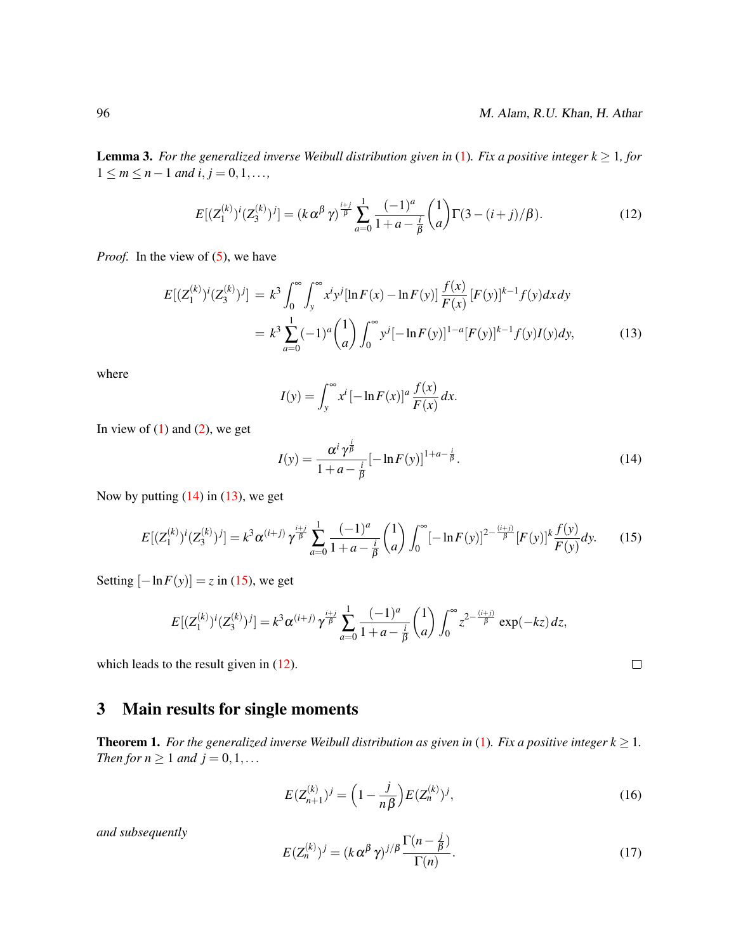<span id="page-3-7"></span>**Lemma 3.** *For the generalized inverse Weibull distribution given in* [\(1\)](#page-0-0). *Fix a positive integer*  $k \geq 1$ *, for*  $1 \le m \le n-1$  *and*  $i, j = 0, 1, \ldots$ ,

<span id="page-3-4"></span>
$$
E[(Z_1^{(k)})^i (Z_3^{(k)})^j] = (k \alpha^{\beta} \gamma)^{\frac{i+j}{\beta}} \sum_{a=0}^1 \frac{(-1)^a}{1+a-\frac{i}{\beta}} {1 \choose a} \Gamma(3-(i+j)/\beta).
$$
 (12)

*Proof.* In the view of [\(5\)](#page-1-0), we have

<span id="page-3-2"></span>
$$
E[(Z_1^{(k)})^i (Z_3^{(k)})^j] = k^3 \int_0^\infty \int_y^\infty x^i y^j [\ln F(x) - \ln F(y)] \frac{f(x)}{F(x)} [F(y)]^{k-1} f(y) dx dy
$$
  

$$
= k^3 \sum_{a=0}^1 (-1)^a {1 \choose a} \int_0^\infty y^j [-\ln F(y)]^{1-a} [F(y)]^{k-1} f(y) I(y) dy,
$$
 (13)

where

$$
I(y) = \int_{y}^{\infty} x^{i} \left[ -\ln F(x) \right]^{a} \frac{f(x)}{F(x)} dx.
$$

In view of  $(1)$  and  $(2)$ , we get

<span id="page-3-1"></span>
$$
I(y) = \frac{\alpha^{i} \gamma^{\frac{i}{\beta}}}{1 + a - \frac{i}{\beta}} [-\ln F(y)]^{1 + a - \frac{i}{\beta}}.
$$
 (14)

Now by putting  $(14)$  in  $(13)$ , we get

<span id="page-3-3"></span>
$$
E[(Z_1^{(k)})^i (Z_3^{(k)})^j] = k^3 \alpha^{(i+j)} \gamma^{\frac{i+j}{\beta}} \sum_{a=0}^1 \frac{(-1)^a}{1+a-\frac{i}{\beta}} {1 \choose a} \int_0^\infty [-\ln F(y)]^{2-\frac{(i+j)}{\beta}} [F(y)]^k \frac{f(y)}{F(y)} dy.
$$
 (15)

Setting  $[-\ln F(y)] = z$  in [\(15\)](#page-3-3), we get

$$
E[(Z_1^{(k)})^i (Z_3^{(k)})^j] = k^3 \alpha^{(i+j)} \gamma^{\frac{i+j}{\beta}} \sum_{a=0}^1 \frac{(-1)^a}{1+a-\frac{i}{\beta}} {1 \choose a} \int_0^\infty z^{2-\frac{(i+j)}{\beta}} \exp(-kz) dz,
$$

which leads to the result given in  $(12)$ .

# <span id="page-3-0"></span>3 Main results for single moments

<span id="page-3-8"></span>**Theorem 1.** *For the generalized inverse Weibull distribution as given in* [\(1\)](#page-0-0). *Fix a positive integer*  $k \geq 1$ *. Then for n*  $\geq 1$  *and j* = 0, 1, ...

<span id="page-3-5"></span>
$$
E(Z_{n+1}^{(k)})^j = \left(1 - \frac{j}{n\beta}\right)E(Z_n^{(k)})^j,\tag{16}
$$

*and subsequently*

<span id="page-3-6"></span>
$$
E(Z_n^{(k)})^j = (k \alpha^{\beta} \gamma)^{j/\beta} \frac{\Gamma(n - \frac{j}{\beta})}{\Gamma(n)}.
$$
\n(17)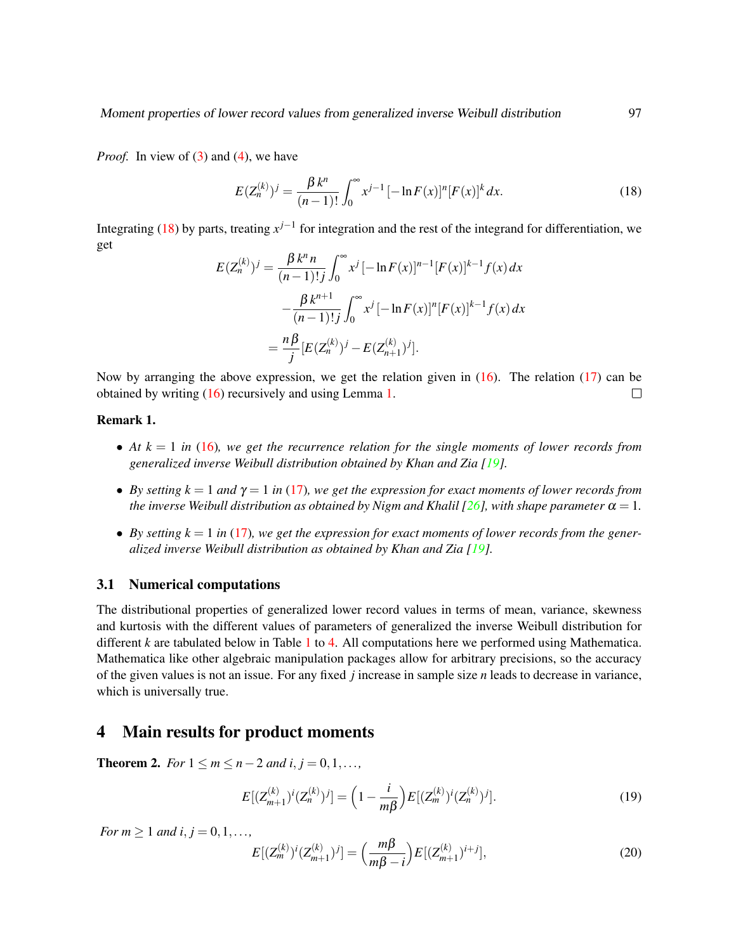*Proof.* In view of [\(3\)](#page-1-2) and [\(4\)](#page-1-0), we have

<span id="page-4-1"></span>
$$
E(Z_n^{(k)})^j = \frac{\beta k^n}{(n-1)!} \int_0^\infty x^{j-1} \left[ -\ln F(x) \right]^n [F(x)]^k dx.
$$
 (18)

Integrating [\(18\)](#page-4-1) by parts, treating  $x^{j-1}$  for integration and the rest of the integrand for differentiation, we get

$$
E(Z_n^{(k)})^j = \frac{\beta k^n n}{(n-1)!\,j} \int_0^\infty x^j \,[-\ln F(x)]^{n-1} [F(x)]^{k-1} f(x) \, dx
$$

$$
- \frac{\beta k^{n+1}}{(n-1)!\,j} \int_0^\infty x^j \,[-\ln F(x)]^n [F(x)]^{k-1} f(x) \, dx
$$

$$
= \frac{n\beta}{j} [E(Z_n^{(k)})^j - E(Z_{n+1}^{(k)})^j].
$$

Now by arranging the above expression, we get the relation given in  $(16)$ . The relation  $(17)$  can be obtained by writing [\(16\)](#page-3-5) recursively and using Lemma [1.](#page-2-4)  $\Box$ 

#### Remark 1.

- At  $k = 1$  in [\(16\)](#page-3-5), we get the recurrence relation for the single moments of lower records from *generalized inverse Weibull distribution obtained by Khan and Zia [\[19\]](#page-12-13).*
- *By setting k* = 1 *and*  $\gamma$  = 1 *in* [\(17\)](#page-3-6)*, we get the expression for exact moments of lower records from the inverse Weibull distribution as obtained by Nigm and Khalil [\[26\]](#page-12-14), with shape parameter*  $\alpha = 1$ *.*
- By setting  $k = 1$  in [\(17\)](#page-3-6), we get the expression for exact moments of lower records from the gener*alized inverse Weibull distribution as obtained by Khan and Zia [\[19\]](#page-12-13).*

#### 3.1 Numerical computations

The distributional properties of generalized lower record values in terms of mean, variance, skewness and kurtosis with the different values of parameters of generalized the inverse Weibull distribution for different *k* are tabulated below in Table [1](#page-5-0) to [4.](#page-6-0) All computations here we performed using Mathematica. Mathematica like other algebraic manipulation packages allow for arbitrary precisions, so the accuracy of the given values is not an issue. For any fixed *j* increase in sample size *n* leads to decrease in variance, which is universally true.

### <span id="page-4-0"></span>4 Main results for product moments

<span id="page-4-4"></span>**Theorem 2.** *For*  $1 \le m \le n-2$  *and i*,  $j = 0, 1, \ldots$ 

<span id="page-4-2"></span>
$$
E[(Z_{m+1}^{(k)})^i (Z_n^{(k)})^j] = \left(1 - \frac{i}{m\beta}\right) E[(Z_m^{(k)})^i (Z_n^{(k)})^j].
$$
\n(19)

*For*  $m \ge 1$  *and*  $i, j = 0, 1, \ldots$ ,

<span id="page-4-3"></span>
$$
E[(Z_m^{(k)})^i (Z_{m+1}^{(k)})^j] = \left(\frac{m\beta}{m\beta - i}\right) E[(Z_{m+1}^{(k)})^{i+j}],\tag{20}
$$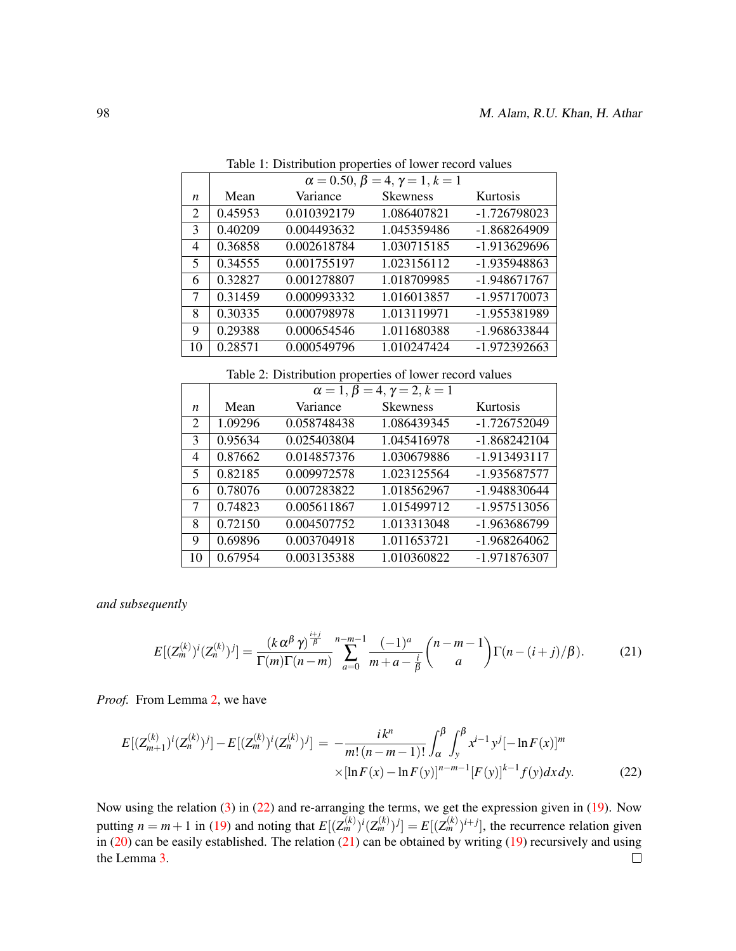|    | $\alpha = 0.50, \beta = 4, \gamma = 1, k = 1$ |             |                 |              |  |  |  |  |  |
|----|-----------------------------------------------|-------------|-----------------|--------------|--|--|--|--|--|
| n  | Mean                                          | Variance    | <b>Skewness</b> | Kurtosis     |  |  |  |  |  |
| 2  | 0.45953                                       | 0.010392179 | 1.086407821     | -1.726798023 |  |  |  |  |  |
| 3  | 0.40209                                       | 0.004493632 | 1.045359486     | -1.868264909 |  |  |  |  |  |
| 4  | 0.36858                                       | 0.002618784 | 1.030715185     | -1.913629696 |  |  |  |  |  |
| 5  | 0.34555                                       | 0.001755197 | 1.023156112     | -1.935948863 |  |  |  |  |  |
| 6  | 0.32827                                       | 0.001278807 | 1.018709985     | -1.948671767 |  |  |  |  |  |
| 7  | 0.31459                                       | 0.000993332 | 1.016013857     | -1.957170073 |  |  |  |  |  |
| 8  | 0.30335                                       | 0.000798978 | 1.013119971     | -1.955381989 |  |  |  |  |  |
| 9  | 0.29388                                       | 0.000654546 | 1.011680388     | -1.968633844 |  |  |  |  |  |
| 10 | 0.28571                                       | 0.000549796 | 1.010247424     | -1.972392663 |  |  |  |  |  |

<span id="page-5-0"></span>Table 1: Distribution properties of lower record values

Table 2: Distribution properties of lower record values

|                  | $\alpha = 1, \beta = 4, \gamma = 2, k = 1$ |             |                 |                |  |  |  |  |  |  |
|------------------|--------------------------------------------|-------------|-----------------|----------------|--|--|--|--|--|--|
| $\boldsymbol{n}$ | Mean                                       | Variance    | <b>Skewness</b> | Kurtosis       |  |  |  |  |  |  |
| 2                | 1.09296                                    | 0.058748438 | 1.086439345     | -1.726752049   |  |  |  |  |  |  |
| 3                | 0.95634                                    | 0.025403804 | 1.045416978     | $-1.868242104$ |  |  |  |  |  |  |
| $\overline{4}$   | 0.87662                                    | 0.014857376 | 1.030679886     | -1.913493117   |  |  |  |  |  |  |
| 5                | 0.82185                                    | 0.009972578 | 1.023125564     | -1.935687577   |  |  |  |  |  |  |
| 6                | 0.78076                                    | 0.007283822 | 1.018562967     | -1.948830644   |  |  |  |  |  |  |
| 7                | 0.74823                                    | 0.005611867 | 1.015499712     | -1.957513056   |  |  |  |  |  |  |
| 8                | 0.72150                                    | 0.004507752 | 1.013313048     | -1.963686799   |  |  |  |  |  |  |
| 9                | 0.69896                                    | 0.003704918 | 1.011653721     | $-1.968264062$ |  |  |  |  |  |  |
| 10               | 0.67954                                    | 0.003135388 | 1.010360822     | -1.971876307   |  |  |  |  |  |  |

*and subsequently*

<span id="page-5-2"></span>
$$
E[(Z_m^{(k)})^i (Z_n^{(k)})^j] = \frac{(k \alpha^{\beta} \gamma)^{\frac{i+j}{\beta}}}{\Gamma(m)\Gamma(n-m)} \sum_{a=0}^{n-m-1} \frac{(-1)^a}{m+a-\frac{i}{\beta}} {n-m-1 \choose a} \Gamma(n-(i+j)/\beta). \tag{21}
$$

*Proof.* From Lemma [2,](#page-2-5) we have

<span id="page-5-1"></span>
$$
E[(Z_{m+1}^{(k)})^{i}(Z_{n}^{(k)})^{j}] - E[(Z_{m}^{(k)})^{i}(Z_{n}^{(k)})^{j}] = -\frac{ik^{n}}{m!(n-m-1)!} \int_{\alpha}^{\beta} \int_{y}^{\beta} x^{i-1} y^{j} [-\ln F(x)]^{m} \times [\ln F(x) - \ln F(y)]^{n-m-1} [F(y)]^{k-1} f(y) dx dy.
$$
 (22)

Now using the relation [\(3\)](#page-1-2) in [\(22\)](#page-5-1) and re-arranging the terms, we get the expression given in [\(19\)](#page-4-2). Now putting  $n = m + 1$  in [\(19\)](#page-4-2) and noting that  $E[(Z_m^{(k)})^i (Z_m^{(k)})^j] = E[(Z_m^{(k)})^{i+j}]$ , the recurrence relation given in  $(20)$  can be easily established. The relation  $(21)$  can be obtained by writing  $(19)$  recursively and using the Lemma [3.](#page-3-7) $\Box$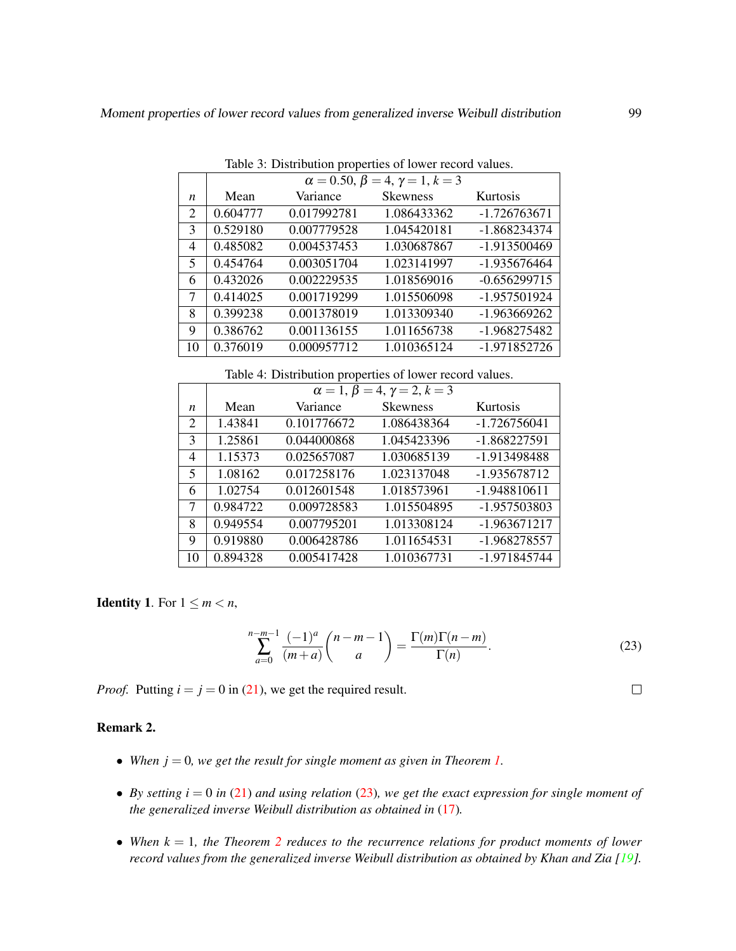|    | $\alpha = 0.50, \beta = 4, \gamma = 1, k = 3$ |             |                 |                |  |  |  |  |  |
|----|-----------------------------------------------|-------------|-----------------|----------------|--|--|--|--|--|
| n  | Mean                                          | Variance    | <b>Skewness</b> | Kurtosis       |  |  |  |  |  |
| 2  | 0.604777                                      | 0.017992781 | 1.086433362     | -1.726763671   |  |  |  |  |  |
| 3  | 0.529180                                      | 0.007779528 | 1.045420181     | -1.868234374   |  |  |  |  |  |
| 4  | 0.485082                                      | 0.004537453 | 1.030687867     | -1.913500469   |  |  |  |  |  |
| 5  | 0.454764                                      | 0.003051704 | 1.023141997     | -1.935676464   |  |  |  |  |  |
| 6  | 0.432026                                      | 0.002229535 | 1.018569016     | $-0.656299715$ |  |  |  |  |  |
| 7  | 0.414025                                      | 0.001719299 | 1.015506098     | -1.957501924   |  |  |  |  |  |
| 8  | 0.399238                                      | 0.001378019 | 1.013309340     | -1.963669262   |  |  |  |  |  |
| 9  | 0.386762                                      | 0.001136155 | 1.011656738     | -1.968275482   |  |  |  |  |  |
| 10 | 0.376019                                      | 0.000957712 | 1.010365124     | -1.971852726   |  |  |  |  |  |

Table 3: Distribution properties of lower record values.

<span id="page-6-0"></span>Table 4: Distribution properties of lower record values.

|    | $\alpha = 1, \beta = 4, \gamma = 2, k = 3$ |             |                 |                |  |  |  |  |  |  |
|----|--------------------------------------------|-------------|-----------------|----------------|--|--|--|--|--|--|
| n  | Mean                                       | Variance    | <b>Skewness</b> | Kurtosis       |  |  |  |  |  |  |
| 2  | 1.43841                                    | 0.101776672 | 1.086438364     | $-1.726756041$ |  |  |  |  |  |  |
| 3  | 1.25861                                    | 0.044000868 | 1.045423396     | -1.868227591   |  |  |  |  |  |  |
| 4  | 1.15373                                    | 0.025657087 | 1.030685139     | -1.913498488   |  |  |  |  |  |  |
| 5  | 1.08162                                    | 0.017258176 | 1.023137048     | -1.935678712   |  |  |  |  |  |  |
| 6  | 1.02754                                    | 0.012601548 | 1.018573961     | -1.948810611   |  |  |  |  |  |  |
| 7  | 0.984722                                   | 0.009728583 | 1.015504895     | -1.957503803   |  |  |  |  |  |  |
| 8  | 0.949554                                   | 0.007795201 | 1.013308124     | -1.963671217   |  |  |  |  |  |  |
| 9  | 0.919880                                   | 0.006428786 | 1.011654531     | -1.968278557   |  |  |  |  |  |  |
| 10 | 0.894328                                   | 0.005417428 | 1.010367731     | -1.971845744   |  |  |  |  |  |  |

**Identity 1.** For  $1 \leq m < n$ ,

<span id="page-6-1"></span>
$$
\sum_{a=0}^{n-m-1} \frac{(-1)^a}{(m+a)} \binom{n-m-1}{a} = \frac{\Gamma(m)\Gamma(n-m)}{\Gamma(n)}.
$$
 (23)

*Proof.* Putting  $i = j = 0$  in [\(21\)](#page-5-2), we get the required result.

## Remark 2.

- When  $j = 0$ , we get the result for single moment as given in Theorem [1.](#page-3-8)
- By setting  $i = 0$  in [\(21\)](#page-5-2) and using relation [\(23\)](#page-6-1), we get the exact expression for single moment of *the generalized inverse Weibull distribution as obtained in* [\(17\)](#page-3-6)*.*
- When  $k = 1$ , the Theorem [2](#page-4-4) reduces to the recurrence relations for product moments of lower *record values from the generalized inverse Weibull distribution as obtained by Khan and Zia [\[19\]](#page-12-13)*.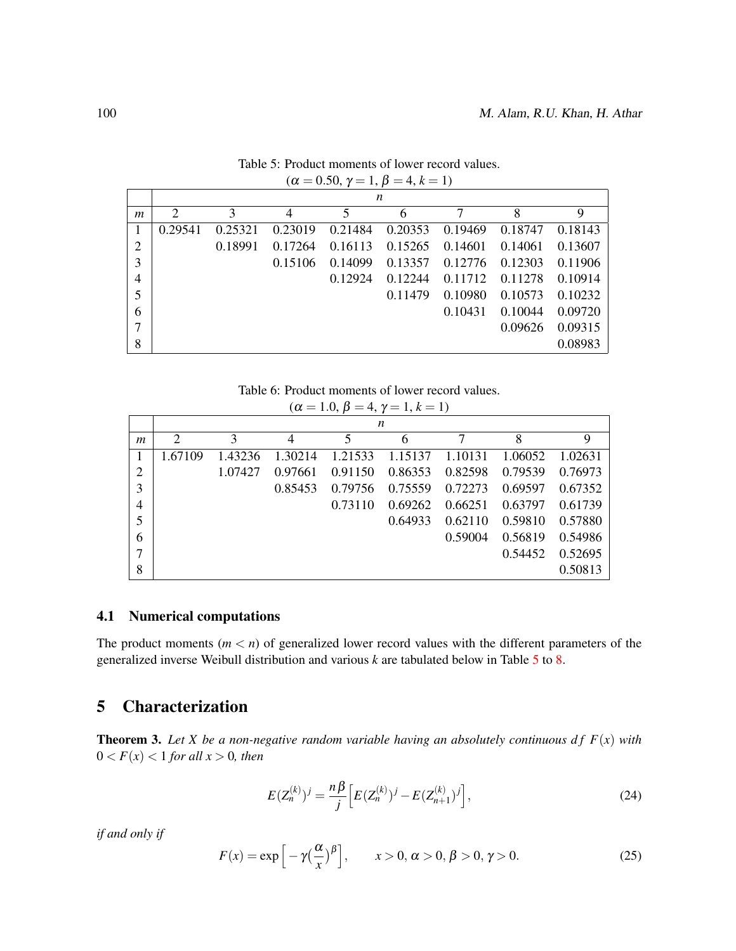|                | n              |         |                |         |         |         |         |         |
|----------------|----------------|---------|----------------|---------|---------|---------|---------|---------|
| m              | $\overline{2}$ | 3       | $\overline{4}$ | 5       | 6       | 7       | 8       | 9       |
|                | 0.29541        | 0.25321 | 0.23019        | 0.21484 | 0.20353 | 0.19469 | 0.18747 | 0.18143 |
| $\overline{2}$ |                | 0.18991 | 0.17264        | 0.16113 | 0.15265 | 0.14601 | 0.14061 | 0.13607 |
| 3              |                |         | 0.15106        | 0.14099 | 0.13357 | 0.12776 | 0.12303 | 0.11906 |
| 4              |                |         |                | 0.12924 | 0.12244 | 0.11712 | 0.11278 | 0.10914 |
| 5              |                |         |                |         | 0.11479 | 0.10980 | 0.10573 | 0.10232 |
| 6              |                |         |                |         |         | 0.10431 | 0.10044 | 0.09720 |
| $\tau$         |                |         |                |         |         |         | 0.09626 | 0.09315 |
| 8              |                |         |                |         |         |         |         | 0.08983 |

<span id="page-7-1"></span>Table 5: Product moments of lower record values.  $(\alpha = 0.50, \gamma = 1, \beta = 4, k = 1)$ 

Table 6: Product moments of lower record values.

| $(\alpha = 1.0, \beta = 4, \gamma = 1, k = 1)$ |                |         |         |         |         |         |         |         |  |
|------------------------------------------------|----------------|---------|---------|---------|---------|---------|---------|---------|--|
|                                                |                |         |         |         | n       |         |         |         |  |
| m                                              | $\overline{2}$ | 3       | 4       | 5       | 6       | 7       | 8       | 9       |  |
| 1                                              | 1.67109        | 1.43236 | 1.30214 | 1.21533 | 1.15137 | 1.10131 | 1.06052 | 1.02631 |  |
| $\overline{2}$                                 |                | 1.07427 | 0.97661 | 0.91150 | 0.86353 | 0.82598 | 0.79539 | 0.76973 |  |
| 3                                              |                |         | 0.85453 | 0.79756 | 0.75559 | 0.72273 | 0.69597 | 0.67352 |  |
| 4                                              |                |         |         | 0.73110 | 0.69262 | 0.66251 | 0.63797 | 0.61739 |  |
| 5                                              |                |         |         |         | 0.64933 | 0.62110 | 0.59810 | 0.57880 |  |
| 6                                              |                |         |         |         |         | 0.59004 | 0.56819 | 0.54986 |  |
| 7                                              |                |         |         |         |         |         | 0.54452 | 0.52695 |  |
| 8                                              |                |         |         |         |         |         |         | 0.50813 |  |

#### 4.1 Numerical computations

The product moments  $(m < n)$  of generalized lower record values with the different parameters of the generalized inverse Weibull distribution and various *k* are tabulated below in Table [5](#page-7-1) to [8.](#page-8-0)

# <span id="page-7-0"></span>5 Characterization

**Theorem 3.** Let X be a non-negative random variable having an absolutely continuous  $df F(x)$  with  $0 < F(x) < 1$  *for all*  $x > 0$ *, then* 

$$
E(Z_n^{(k)})^j = \frac{n\beta}{j} \left[ E(Z_n^{(k)})^j - E(Z_{n+1}^{(k)})^j \right],\tag{24}
$$

*if and only if*

$$
F(x) = \exp\left[-\gamma \left(\frac{\alpha}{x}\right)^{\beta}\right], \qquad x > 0, \, \alpha > 0, \, \beta > 0, \, \gamma > 0. \tag{25}
$$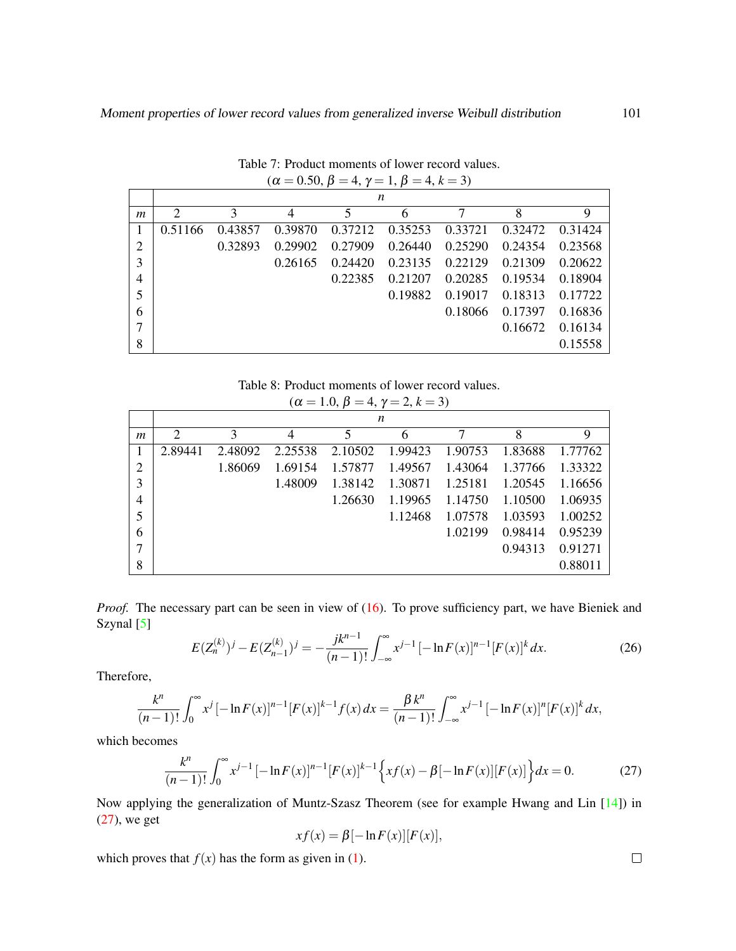|   | $\boldsymbol{n}$ |         |                |         |         |         |         |         |
|---|------------------|---------|----------------|---------|---------|---------|---------|---------|
| m | 2                | 3       | $\overline{4}$ | 5       | 6       | 7       | 8       | 9       |
|   | 0.51166          | 0.43857 | 0.39870        | 0.37212 | 0.35253 | 0.33721 | 0.32472 | 0.31424 |
| 2 |                  | 0.32893 | 0.29902        | 0.27909 | 0.26440 | 0.25290 | 0.24354 | 0.23568 |
| 3 |                  |         | 0.26165        | 0.24420 | 0.23135 | 0.22129 | 0.21309 | 0.20622 |
| 4 |                  |         |                | 0.22385 | 0.21207 | 0.20285 | 0.19534 | 0.18904 |
| 5 |                  |         |                |         | 0.19882 | 0.19017 | 0.18313 | 0.17722 |
| 6 |                  |         |                |         |         | 0.18066 | 0.17397 | 0.16836 |
| 7 |                  |         |                |         |         |         | 0.16672 | 0.16134 |
| 8 |                  |         |                |         |         |         |         | 0.15558 |

Table 7: Product moments of lower record values.  $(\alpha = 0.50, \beta = 4, \gamma = 1, \beta = 4, k = 3)$ 

Table 8: Product moments of lower record values.

<span id="page-8-0"></span>

| $(\alpha = 1.0, \beta = 4, \gamma = 2, k = 3)$ |  |  |
|------------------------------------------------|--|--|
|------------------------------------------------|--|--|

|                | n                           |         |         |         |         |         |         |         |
|----------------|-----------------------------|---------|---------|---------|---------|---------|---------|---------|
| $\mathfrak{m}$ | $\mathcal{D}_{\mathcal{L}}$ |         | 4       |         | 6       |         | 8       | 9       |
|                | 2.89441                     | 2.48092 | 2.25538 | 2.10502 | 1.99423 | 1.90753 | 1.83688 | 1.77762 |
| $\overline{2}$ |                             | 1.86069 | 1.69154 | 1.57877 | 1.49567 | 1.43064 | 1.37766 | 1.33322 |
| 3              |                             |         | 1.48009 | 1.38142 | 1.30871 | 1.25181 | 1.20545 | 1.16656 |
| 4              |                             |         |         | 1.26630 | 1.19965 | 1.14750 | 1.10500 | 1.06935 |
| 5              |                             |         |         |         | 1.12468 | 1.07578 | 1.03593 | 1.00252 |
| 6              |                             |         |         |         |         | 1.02199 | 0.98414 | 0.95239 |
|                |                             |         |         |         |         |         | 0.94313 | 0.91271 |
| 8              |                             |         |         |         |         |         |         | 0.88011 |

*Proof.* The necessary part can be seen in view of [\(16\)](#page-3-5). To prove sufficiency part, we have Bieniek and Szynal [\[5\]](#page-11-7)

$$
E(Z_n^{(k)})^j - E(Z_{n-1}^{(k)})^j = -\frac{jk^{n-1}}{(n-1)!} \int_{-\infty}^{\infty} x^{j-1} \left[ -\ln F(x) \right]^{n-1} [F(x)]^k dx.
$$
 (26)

Therefore,

$$
\frac{k^{n}}{(n-1)!} \int_{0}^{\infty} x^{j} \left[ -\ln F(x) \right]^{n-1} [F(x)]^{k-1} f(x) dx = \frac{\beta k^{n}}{(n-1)!} \int_{-\infty}^{\infty} x^{j-1} \left[ -\ln F(x) \right]^{n} [F(x)]^{k} dx,
$$

which becomes

<span id="page-8-1"></span>
$$
\frac{k^n}{(n-1)!} \int_0^\infty x^{j-1} \left[ -\ln F(x) \right]^{n-1} \left[ F(x) \right]^{k-1} \left\{ x f(x) - \beta \left[ -\ln F(x) \right] \left[ F(x) \right] \right\} dx = 0. \tag{27}
$$

Now applying the generalization of Muntz-Szasz Theorem (see for example Hwang and Lin [\[14\]](#page-12-15)) in [\(27\)](#page-8-1), we get

$$
xf(x) = \beta [-\ln F(x)][F(x)],
$$

which proves that  $f(x)$  has the form as given in [\(1\)](#page-0-0).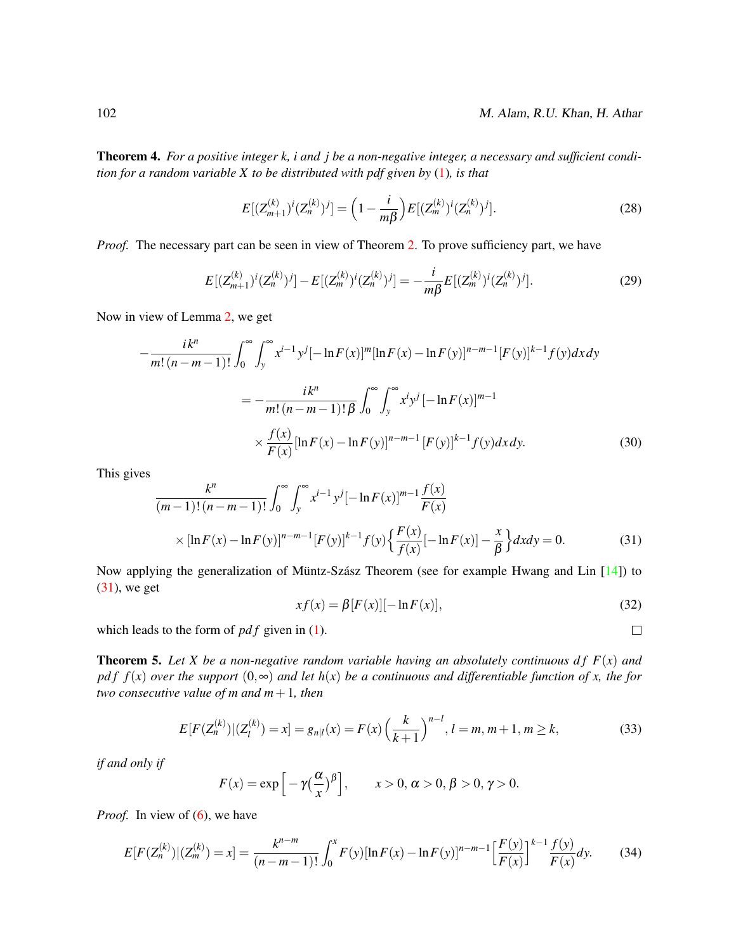Theorem 4. *For a positive integer k, i and j be a non-negative integer, a necessary and sufficient condition for a random variable X to be distributed with pdf given by* [\(1\)](#page-0-0)*, is that*

$$
E[(Z_{m+1}^{(k)})^i (Z_n^{(k)})^j] = \left(1 - \frac{i}{m\beta}\right) E[(Z_m^{(k)})^i (Z_n^{(k)})^j].
$$
\n(28)

*Proof.* The necessary part can be seen in view of Theorem [2.](#page-4-4) To prove sufficiency part, we have

$$
E[(Z_{m+1}^{(k)})^{i}(Z_n^{(k)})^{j}] - E[(Z_m^{(k)})^{i}(Z_n^{(k)})^{j}] = -\frac{i}{m\beta}E[(Z_m^{(k)})^{i}(Z_n^{(k)})^{j}].
$$
\n(29)

Now in view of Lemma [2,](#page-2-5) we get

$$
-\frac{ik^{n}}{m!(n-m-1)!} \int_{0}^{\infty} \int_{y}^{\infty} x^{i-1} y^{j} [-\ln F(x)]^{m} [\ln F(x) - \ln F(y)]^{n-m-1} [F(y)]^{k-1} f(y) dx dy
$$
  

$$
= -\frac{ik^{n}}{m!(n-m-1)!} \int_{0}^{\infty} \int_{y}^{\infty} x^{i} y^{j} [-\ln F(x)]^{m-1}
$$
  

$$
\times \frac{f(x)}{F(x)} [\ln F(x) - \ln F(y)]^{n-m-1} [F(y)]^{k-1} f(y) dx dy.
$$
 (30)

This gives

<span id="page-9-0"></span>
$$
\frac{k^{n}}{(m-1)!(n-m-1)!} \int_{0}^{\infty} \int_{y}^{\infty} x^{i-1} y^{j} [-\ln F(x)]^{m-1} \frac{f(x)}{F(x)}
$$
  
 
$$
\times [\ln F(x) - \ln F(y)]^{n-m-1} [F(y)]^{k-1} f(y) \left\{ \frac{F(x)}{f(x)} [-\ln F(x)] - \frac{x}{\beta} \right\} dx dy = 0.
$$
 (31)

Now applying the generalization of Müntz-Szász Theorem (see for example Hwang and Lin  $[14]$  $[14]$ ) to [\(31\)](#page-9-0), we get

$$
xf(x) = \beta [F(x)][-\ln F(x)], \qquad (32)
$$

 $\Box$ 

which leads to the form of *pdf* given in [\(1\)](#page-0-0).

**Theorem 5.** Let X be a non-negative random variable having an absolutely continuous  $df F(x)$  and *pdf*  $f(x)$  *over the support*  $(0, \infty)$  *and let*  $h(x)$  *be a continuous and differentiable function of x, the for two consecutive value of m and m*+1*, then*

<span id="page-9-2"></span>
$$
E[F(Z_n^{(k)})|(Z_l^{(k)}) = x] = g_{n|l}(x) = F(x) \left(\frac{k}{k+1}\right)^{n-l}, l = m, m+1, m \ge k,
$$
\n(33)

*if and only if*

$$
F(x) = \exp\left[-\gamma\left(\frac{\alpha}{x}\right)^{\beta}\right], \qquad x > 0, \, \alpha > 0, \, \beta > 0, \, \gamma > 0.
$$

*Proof.* In view of [\(6\)](#page-1-3), we have

<span id="page-9-1"></span>
$$
E[F(Z_n^{(k)})|(Z_m^{(k)}) = x] = \frac{k^{n-m}}{(n-m-1)!} \int_0^x F(y) [\ln F(x) - \ln F(y)]^{n-m-1} \left[ \frac{F(y)}{F(x)} \right]^{k-1} \frac{f(y)}{F(x)} dy.
$$
 (34)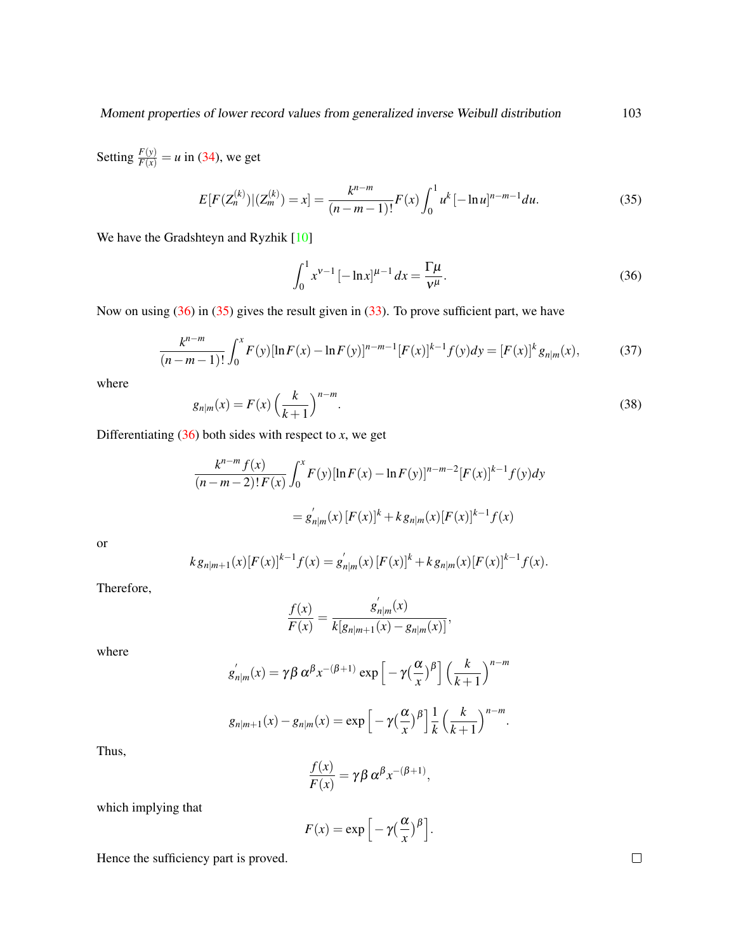Setting  $\frac{F(y)}{F(x)} = u$  in [\(34\)](#page-9-1), we get

<span id="page-10-1"></span>
$$
E[F(Z_n^{(k)})|(Z_m^{(k)})=x] = \frac{k^{n-m}}{(n-m-1)!}F(x)\int_0^1 u^k[-\ln u]^{n-m-1}du.
$$
\n(35)

We have the Gradshteyn and Ryzhik [\[10\]](#page-11-9)

<span id="page-10-0"></span>
$$
\int_0^1 x^{\nu - 1} \left[ -\ln x \right]^{\mu - 1} dx = \frac{\Gamma \mu}{\nu^{\mu}}.
$$
 (36)

Now on using [\(36\)](#page-10-0) in [\(35\)](#page-10-1) gives the result given in [\(33\)](#page-9-2). To prove sufficient part, we have

$$
\frac{k^{n-m}}{(n-m-1)!} \int_0^x F(y) [\ln F(x) - \ln F(y)]^{n-m-1} [F(x)]^{k-1} f(y) dy = [F(x)]^k g_{n|m}(x),
$$
 (37)

where

$$
g_{n|m}(x) = F(x) \left(\frac{k}{k+1}\right)^{n-m}.\tag{38}
$$

Differentiating  $(36)$  both sides with respect to *x*, we get

$$
\frac{k^{n-m} f(x)}{(n-m-2)! F(x)} \int_0^x F(y) [\ln F(x) - \ln F(y)]^{n-m-2} [F(x)]^{k-1} f(y) dy
$$
  
=  $g'_{n|m}(x) [F(x)]^k + k g_{n|m}(x) [F(x)]^{k-1} f(x)$ 

or

$$
k g_{n|m+1}(x) [F(x)]^{k-1} f(x) = g'_{n|m}(x) [F(x)]^k + k g_{n|m}(x) [F(x)]^{k-1} f(x).
$$

Therefore,

$$
\frac{f(x)}{F(x)} = \frac{g'_{n|m}(x)}{k[g_{n|m+1}(x) - g_{n|m}(x)]},
$$

 $\overline{1}$ 

where

$$
g'_{n|m}(x) = \gamma \beta \alpha^{\beta} x^{-(\beta+1)} \exp\left[-\gamma \left(\frac{\alpha}{x}\right)^{\beta}\right] \left(\frac{k}{k+1}\right)^{n-m}
$$

$$
g_{n|m+1}(x)-g_{n|m}(x)=\exp\left[-\gamma\left(\frac{\alpha}{x}\right)^{\beta}\right]\frac{1}{k}\left(\frac{k}{k+1}\right)^{n-m}.
$$

Thus,

$$
\frac{f(x)}{F(x)} = \gamma \beta \alpha^{\beta} x^{-(\beta+1)},
$$

which implying that

$$
F(x) = \exp\left[-\gamma \left(\frac{\alpha}{x}\right)^{\beta}\right].
$$

Hence the sufficiency part is proved.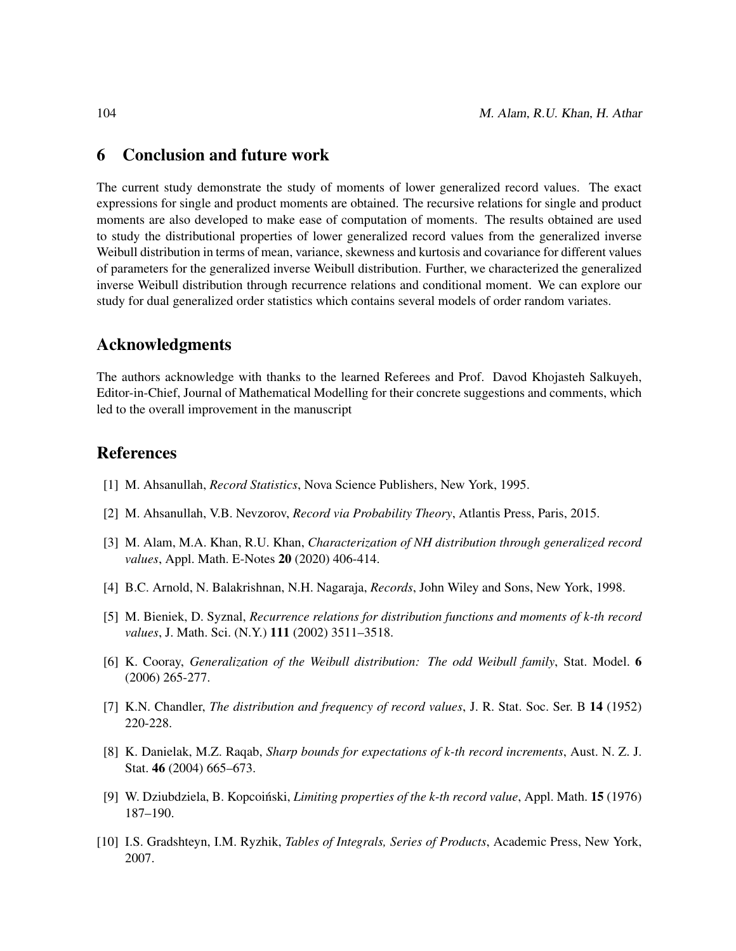## <span id="page-11-8"></span>6 Conclusion and future work

The current study demonstrate the study of moments of lower generalized record values. The exact expressions for single and product moments are obtained. The recursive relations for single and product moments are also developed to make ease of computation of moments. The results obtained are used to study the distributional properties of lower generalized record values from the generalized inverse Weibull distribution in terms of mean, variance, skewness and kurtosis and covariance for different values of parameters for the generalized inverse Weibull distribution. Further, we characterized the generalized inverse Weibull distribution through recurrence relations and conditional moment. We can explore our study for dual generalized order statistics which contains several models of order random variates.

## Acknowledgments

The authors acknowledge with thanks to the learned Referees and Prof. Davod Khojasteh Salkuyeh, Editor-in-Chief, Journal of Mathematical Modelling for their concrete suggestions and comments, which led to the overall improvement in the manuscript

### References

- <span id="page-11-2"></span>[1] M. Ahsanullah, *Record Statistics*, Nova Science Publishers, New York, 1995.
- <span id="page-11-3"></span>[2] M. Ahsanullah, V.B. Nevzorov, *Record via Probability Theory*, Atlantis Press, Paris, 2015.
- <span id="page-11-6"></span>[3] M. Alam, M.A. Khan, R.U. Khan, *Characterization of NH distribution through generalized record values*, Appl. Math. E-Notes 20 (2020) 406-414.
- <span id="page-11-4"></span>[4] B.C. Arnold, N. Balakrishnan, N.H. Nagaraja, *Records*, John Wiley and Sons, New York, 1998.
- <span id="page-11-7"></span>[5] M. Bieniek, D. Syznal, *Recurrence relations for distribution functions and moments of k-th record values*, J. Math. Sci. (N.Y.) 111 (2002) 3511–3518.
- <span id="page-11-0"></span>[6] K. Cooray, *Generalization of the Weibull distribution: The odd Weibull family*, Stat. Model. 6 (2006) 265-277.
- <span id="page-11-1"></span>[7] K.N. Chandler, *The distribution and frequency of record values*, J. R. Stat. Soc. Ser. B 14 (1952) 220-228.
- [8] K. Danielak, M.Z. Raqab, *Sharp bounds for expectations of k-th record increments*, Aust. N. Z. J. Stat. 46 (2004) 665–673.
- <span id="page-11-5"></span>[9] W. Dziubdziela, B. Kopcoiński, *Limiting properties of the k-th record value*, Appl. Math. **15** (1976) 187–190.
- <span id="page-11-9"></span>[10] I.S. Gradshteyn, I.M. Ryzhik, *Tables of Integrals, Series of Products*, Academic Press, New York, 2007.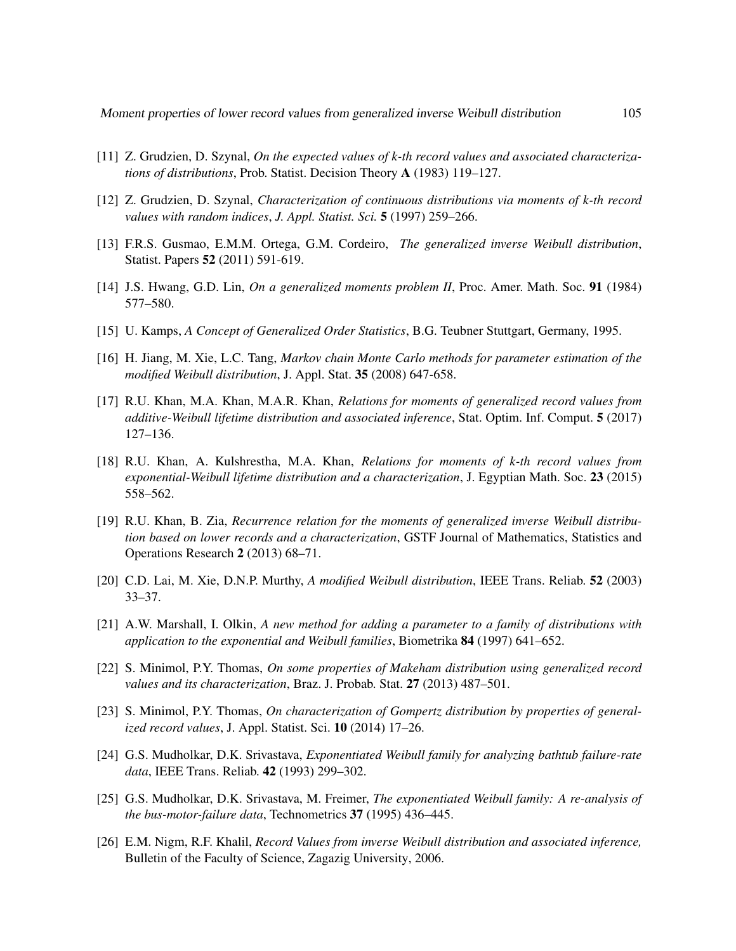- <span id="page-12-8"></span>[11] Z. Grudzien, D. Szynal, *On the expected values of k-th record values and associated characterizations of distributions*, Prob. Statist. Decision Theory A (1983) 119–127.
- <span id="page-12-9"></span>[12] Z. Grudzien, D. Szynal, *Characterization of continuous distributions via moments of k-th record values with random indices*, *J. Appl. Statist. Sci.* 5 (1997) 259–266.
- <span id="page-12-0"></span>[13] F.R.S. Gusmao, E.M.M. Ortega, G.M. Cordeiro, *The generalized inverse Weibull distribution*, Statist. Papers 52 (2011) 591-619.
- <span id="page-12-15"></span>[14] J.S. Hwang, G.D. Lin, *On a generalized moments problem II*, Proc. Amer. Math. Soc. 91 (1984) 577–580.
- <span id="page-12-6"></span>[15] U. Kamps, *A Concept of Generalized Order Statistics*, B.G. Teubner Stuttgart, Germany, 1995.
- <span id="page-12-4"></span>[16] H. Jiang, M. Xie, L.C. Tang, *Markov chain Monte Carlo methods for parameter estimation of the modified Weibull distribution*, J. Appl. Stat. 35 (2008) 647-658.
- <span id="page-12-10"></span>[17] R.U. Khan, M.A. Khan, M.A.R. Khan, *Relations for moments of generalized record values from additive-Weibull lifetime distribution and associated inference*, Stat. Optim. Inf. Comput. 5 (2017) 127–136.
- <span id="page-12-11"></span>[18] R.U. Khan, A. Kulshrestha, M.A. Khan, *Relations for moments of k-th record values from exponential-Weibull lifetime distribution and a characterization*, J. Egyptian Math. Soc. 23 (2015) 558–562.
- <span id="page-12-13"></span>[19] R.U. Khan, B. Zia, *Recurrence relation for the moments of generalized inverse Weibull distribution based on lower records and a characterization*, GSTF Journal of Mathematics, Statistics and Operations Research 2 (2013) 68–71.
- <span id="page-12-5"></span>[20] C.D. Lai, M. Xie, D.N.P. Murthy, *A modified Weibull distribution*, IEEE Trans. Reliab. 52 (2003) 33–37.
- <span id="page-12-3"></span>[21] A.W. Marshall, I. Olkin, *A new method for adding a parameter to a family of distributions with application to the exponential and Weibull families*, Biometrika 84 (1997) 641–652.
- <span id="page-12-7"></span>[22] S. Minimol, P.Y. Thomas, *On some properties of Makeham distribution using generalized record values and its characterization*, Braz. J. Probab. Stat. 27 (2013) 487–501.
- <span id="page-12-12"></span>[23] S. Minimol, P.Y. Thomas, *On characterization of Gompertz distribution by properties of generalized record values*, J. Appl. Statist. Sci. 10 (2014) 17–26.
- <span id="page-12-1"></span>[24] G.S. Mudholkar, D.K. Srivastava, *Exponentiated Weibull family for analyzing bathtub failure-rate data*, IEEE Trans. Reliab. 42 (1993) 299–302.
- <span id="page-12-2"></span>[25] G.S. Mudholkar, D.K. Srivastava, M. Freimer, *The exponentiated Weibull family: A re-analysis of the bus-motor-failure data*, Technometrics 37 (1995) 436–445.
- <span id="page-12-14"></span>[26] E.M. Nigm, R.F. Khalil, *Record Values from inverse Weibull distribution and associated inference,* Bulletin of the Faculty of Science, Zagazig University, 2006.